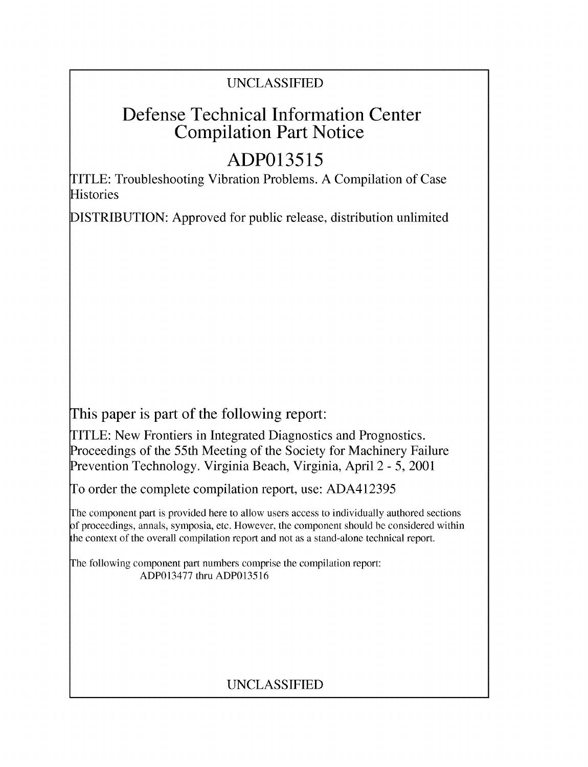# UNCLASSIFIED

# Defense Technical Information Center Compilation Part Notice

# **ADP013515**

TITLE: Troubleshooting Vibration Problems. A Compilation of Case Histories

DISTRIBUTION: Approved for public release, distribution unlimited

This paper is part of the following report:

TITLE: New Frontiers in Integrated Diagnostics and Prognostics. Proceedings of the 55th Meeting of the Society for Machinery Failure Prevention Technology. Virginia Beach, Virginia, April 2 - 5, 2001

To order the complete compilation report, use: ADA412395

The component part is provided here to allow users access to individually authored sections **)f** proceedings, annals, symposia, etc. However, the component should be considered within [he context of the overall compilation report and not as a stand-alone technical report.

The following component part numbers comprise the compilation report: ADP013477 thru ADP013516

# UNCLASSIFIED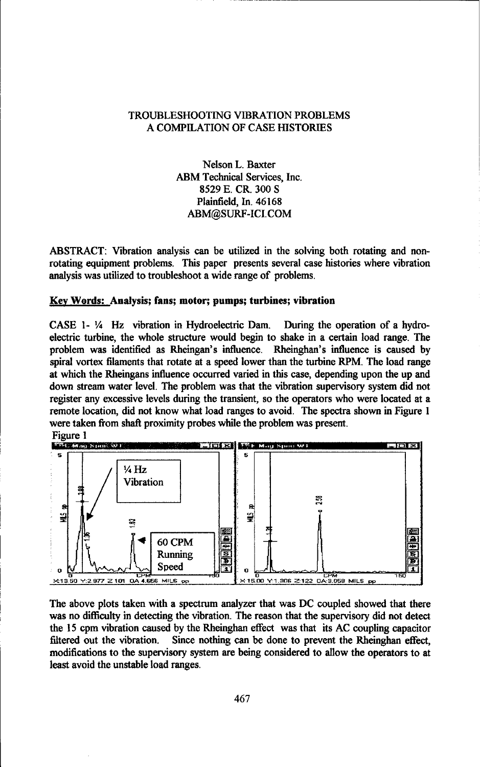# TROUBLESHOOTING VIBRATION PROBLEMS A COMPILATION OF CASE HISTORIES

Nelson L. Baxter ABM Technical Services, Inc. 8529 E. CR. 300 **S** Plainfield, In. 46168 ABM@SURF-ICI.COM

ABSTRACT: Vibration analysis can be utilized in the solving both rotating and nonrotating equipment problems. This paper presents several case histories where vibration analysis was utilized to troubleshoot a wide range of problems.

# Key Words: Analysis; fans; motor; pumps; turbines; vibration

CASE 1- ¼ Hz vibration in Hydroelectric Dam. During the operation of a hydroelectric turbine, the whole structure would begin to shake in a certain load range. The problem was identified as Rheingan's influence. Rheinghan's influence is caused by spiral vortex filaments that rotate at a speed lower than the turbine RPM. The load range at which the Rheingans influence occurred varied in this case, depending upon the up and down stream water level. The problem was that the vibration supervisory system did not register any excessive levels during the transient, so the operators who were located at a remote location, did not know what load ranges to avoid. The spectra shown in Figure 1 were taken from shaft proximity probes while the problem was present.



The above plots taken with a spectrum analyzer that was DC coupled showed that there was no difficulty in detecting the vibration. The reason that the supervisory did not detect the 15 cpm vibration caused by the Rheinghan effect was that its AC coupling capacitor filtered out the vibration. Since nothing can be done to prevent the Rheinghan effect, modifications to the supervisory system are being considered to allow the operators to at least avoid the unstable load ranges.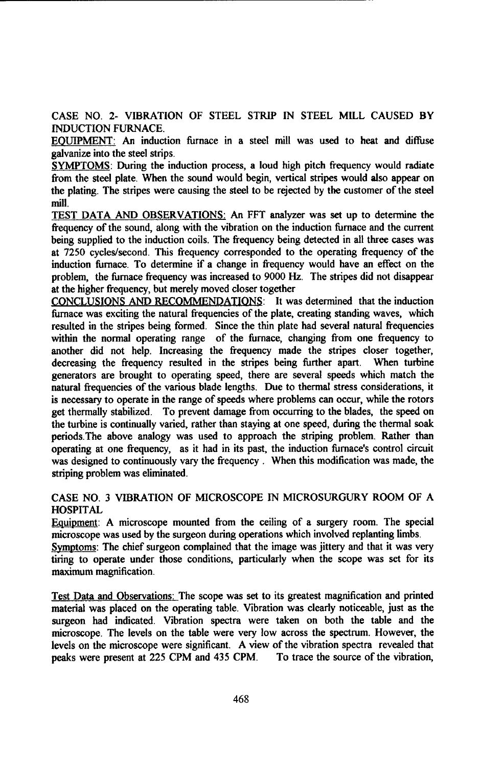**CASE NO.** 2- VIBRATION OF **STEEL** STRIP **IN STEEL** MILL **CAUSED** BY **INDUCTION FURNACE.**

EOUIPMENT: An induction furnace in a steel mill was used to heat and diffuse galvanize into the steel strips.

SYMPTOMS: During the induction process, a loud high pitch frequency would radiate from the steel plate. When the sound would begin, vertical stripes would also appear on the plating. The stripes were causing the steel to be rejected by the customer of the steel mill.

TEST DATA AND OBSERVATIONS: An FFT analyzer was set up to determine the frequency of the sound, along with the vibration on the induction furnace and the current being supplied to the induction coils. The frequency being detected in all three cases was at 7250 cycles/second. This frequency corresponded to the operating frequency of the induction furnace. To determine if a change in frequency would have an effect on the problem, the furnace frequency was increased to 9000 Hz. The stripes did not disappear at the higher frequency, but merely moved closer together

**CONCLUSIONS AND RECOMMENDATIONS:** It was determined that the induction furnace was exciting the natural frequencies of the plate, creating standing waves, which resulted in the stripes being formed. Since the thin plate had several natural frequencies within the normal operating range of the furnace, changing from one frequency to another did not help. Increasing the frequency made the stripes closer together, decreasing the frequency resulted in the stripes being further apart. When turbine generators are brought to operating speed, there are several speeds which match the natural frequencies of the various blade lengths. Due to thermal stress considerations, it is necessary to operate in the range of speeds where problems can occur, while the rotors get thermally stabilized. To prevent damage from occurring to the blades, the speed on the turbine is continually varied, rather than staying at one speed, during the thermal soak periods.The above analogy was used to approach the striping problem. Rather than operating at one frequency, as it had in its past, the induction furnace's control circuit was designed to continuously vary the frequency. When this modification was made, the striping problem was eliminated.

# CASE NO. 3 VIBRATION OF MICROSCOPE IN MICROSURGURY ROOM OF A HOSPITAL

Equipment: A microscope mounted from the ceiling of a surgery room. The special microscope was used by the surgeon during operations which involved replanting limbs.

Symptoms: The chief surgeon complained that the image was jittery and that it was very tiring to operate under those conditions, particularly when the scope was set for its maximum magnification.

Test Data and Observations: The scope was set to its greatest magnification and printed material was placed on the operating table. Vibration was clearly noticeable, just as the surgeon had indicated. Vibration spectra were taken on both the table and the microscope. The levels on the table were very low across the spectrum. However, the levels on the microscope were significant. A view of the vibration spectra revealed that peaks were present at 225 CPM and 435 CPM. To trace the source of the vibration,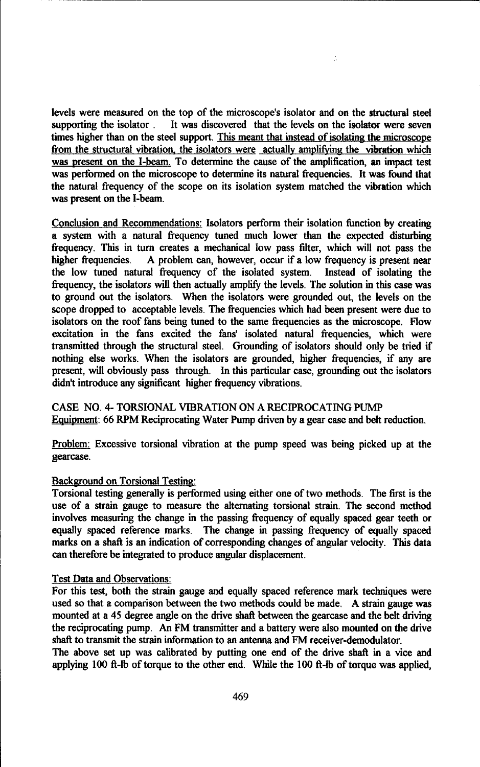levels were measured on the top of the microscope's isolator and on the structural steel supporting the isolator. It was discovered that the levels on the isolator were seven times higher than on the steel support. This meant that instead of isolating the microscope from the structural vibration, the isolators were actually amplifying the vibration which was present on the I-beam. To determine the cause of the amplification, an impact test was performed on the microscope to determine its natural frequencies. It was found that the natural frequency of the scope on its isolation system matched the vibration which was present on the I-beam.

÷,

Conclusion and Recommendations: Isolators perform their isolation function by creating a system with a natural frequency tuned much lower than the expected disturbing frequency. This in turn creates a mechanical low pass filter, which will not pass the higher frequencies. A problem can, however, occur if a low frequency is present near the low tuned natural frequency cf the isolated system. Instead of isolating the frequency, the isolators will then actually amplify the levels. The solution in this case was to ground out the isolators. When the isolators were grounded out, the levels on the scope dropped to acceptable levels. The frequencies which had been present were due to isolators on the roof fans being tuned to the same frequencies as the microscope. Flow excitation in the fans excited the fans' isolated natural frequencies, which were transmitted through the structural steel. Grounding of isolators should only be tried if nothing else works. When the isolators are grounded, higher frequencies, if any are present, will obviously pass through. In this particular case, grounding out the isolators didn't introduce any significant higher frequency vibrations.

CASE NO. 4- TORSIONAL VIBRATION ON A RECIPROCATING PUMP Equipment: 66 RPM Reciprocating Water Pump driven by a gear case and belt reduction.

Problem: Excessive torsional vibration at the pump speed was being picked up at the gearcase.

# Background on Torsional Testing:

Torsional testing generally is performed using either one of two methods. The first is the use of a strain gauge to measure the alternating torsional strain. The second method involves measuring the change in the passing frequency of equally spaced gear teeth or equally spaced reference marks. The change in passing frequency of equally spaced marks on a shaft is an indication of corresponding changes of angular velocity. This data can therefore be integrated to produce angular displacement.

# Test Data and Observations:

For this test, both the strain gauge and equally spaced reference mark techniques were used so that a comparison between the two methods could be made. A strain gauge was mounted at a 45 degree angle on the drive shaft between the gearcase and the belt driving the reciprocating pump. An FM transmitter and a battery were also mounted on the drive shaft to transmit the strain information to an antenna and FM receiver-demodulator.

The above set up was calibrated by putting one end of the drive shaft in a vice and applying 100 ft-lb of torque to the other end. While the 100 ft-lb of torque was applied,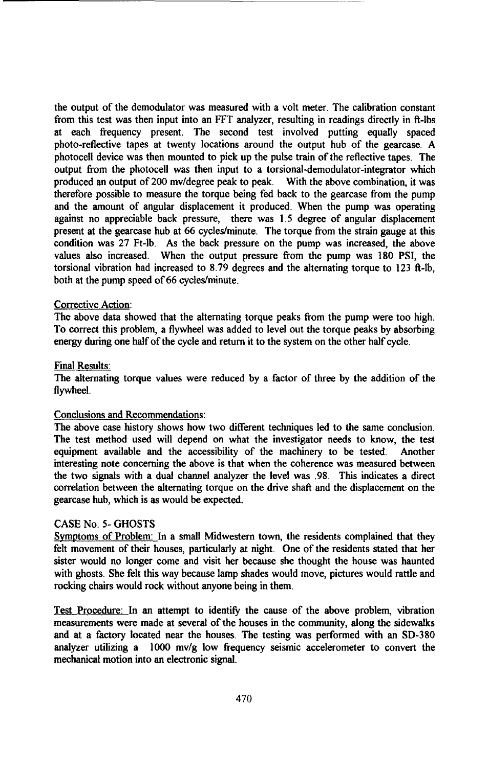the output of the demodulator was measured with a volt meter. The calibration constant from this test was then input into an FFT analyzer, resulting in readings directly in ft-lbs at each frequency present. The second test involved putting equally spaced photo-reflective tapes at twenty locations around the output hub of the gearcase. A photocell device was then mounted to pick up the pulse train of the reflective tapes. The output from the photocell was then input to a torsional-demodulator-integrator which produced an output of 200 mv/degree peak to peak. With the above combination, it was therefore possible to measure the torque being fed back to the gearcase from the pump and the amount of angular displacement it produced. When the pump was operating against no appreciable back pressure, there was 1.5 degree of angular displacement present at the gearcase hub at 66 cycles/minute. The torque from the strain gauge at this condition was 27 Ft-lb. As the back pressure on the pump was increased, the above values also increased. When the output pressure from the pump was 180 PSI, the torsional vibration had increased to  $8.79$  degrees and the alternating torque to  $123$  ft-lb, both at the pump speed of 66 cycles/minute.

# Corrective Action:

The above data showed that the alternating torque peaks from the pump were too high. To correct this problem, a flywheel was added to level out the torque peaks by absorbing energy during one half of the cycle and return it to the system on the other half cycle.

# Final Results:

The alternating torque values were reduced by a factor of three by the addition of the flywheel.

# Conclusions and Recommendations:

The above case history shows how two different techniques led to the same conclusion. The test method used will depend on what the investigator needs to know, the test equipment available and the accessibility of the machinery to be tested. Another interesting note concerning the above is that when the coherence was measured between the two signals with a dual channel analyzer the level was .98. This indicates a direct correlation between the alternating torque on the drive shaft and the displacement on the gearcase hub, which is as would be expected.

# CASE No. 5- GHOSTS

Symptoms of Problem: In a small Midwestern town, the residents complained that they felt movement of their houses, particularly at night. One of the residents stated that her sister would no longer come and visit her because she thought the house was haunted with ghosts. She felt this way because lamp shades would move, pictures would rattle and rocking chairs would rock without anyone being in them.

Test Procedure: In an attempt to identify the cause of the above problem, vibration measurements were made at several of the houses in the community, along the sidewalks and at a factory located near the houses. The testing was performed with an SD-380 analyzer utilizing a  $1000 \, \text{mv/g}$  low frequency seismic accelerometer to convert the mechanical motion into an electronic signal.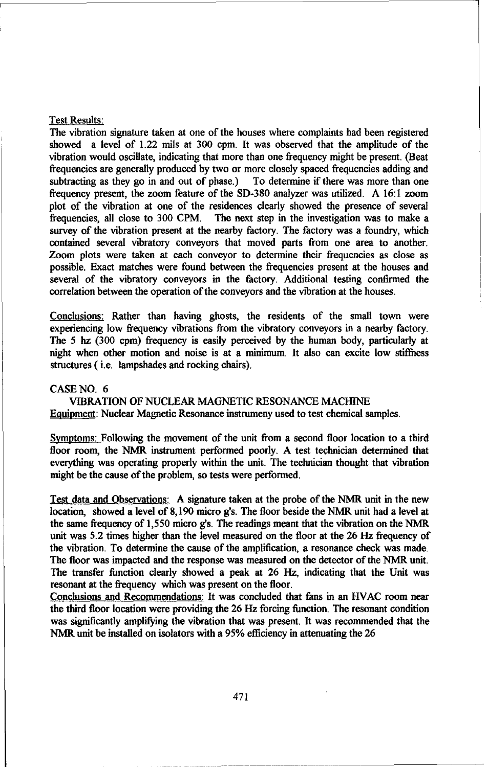#### Test Results:

The vibration signature taken at one of the houses where complaints had been registered showed a level of 1.22 mils at 300 cpm. It was observed that the amplitude of the vibration would oscillate, indicating that more than one frequency might be present. (Beat frequencies are generally produced by two or more closely spaced frequencies adding and subtracting as they go in and out of phase.) To determine if there was more than one frequency present, the zoom feature of the SD-380 analyzer was utilized. A 16:1 zoom plot of the vibration at one of the residences clearly showed the presence of several frequencies, all close to 300 CPM. The next step in the investigation was to make a survey of the vibration present at the nearby factory. The factory was a foundry, which contained several vibratory conveyors that moved parts from one area to another. Zoom plots were taken at each conveyor to determine their frequencies as close as possible. Exact matches were found between the frequencies present at the houses and several of the vibratory conveyors in the factory. Additional testing confirmed the correlation between the operation of the conveyors and the vibration at the houses.

Conclusions: Rather than having ghosts, the residents of the small town were experiencing low frequency vibrations from the vibratory conveyors in a nearby factory. The 5 hz (300 cpm) frequency is easily perceived by the human body, particularly at night when other motion and noise is at a minimum. It also can excite low stiffness structures ( i.e. lampshades and rocking chairs).

#### CASE NO. 6

VIBRATION OF NUCLEAR MAGNETIC RESONANCE MACHINE Equipment: Nuclear Magnetic Resonance instrumeny used to test chemical samples.

Symptoms: Following the movement of the unit from a second floor location to a third floor room, the NMR instrument performed poorly. A test technician determined that everything was operating properly within the unit. The technician thought that vibration might be the cause of the problem, so tests were performed.

Test data and Observations: A signature taken at the probe of the NMR unit in the new location, showed a level of 8,190 micro g's. The floor beside the NMR unit had a level at the same frequency of 1,550 micro g's. The readings meant that the vibration on the NMR unit was 5.2 times higher than the level measured on the floor at the 26 Hz frequency of the vibration. To determine the cause of the amplification, a resonance check was made. The floor was impacted and the response was measured on the detector of the NMR unit. The transfer function clearly showed a peak at 26 Hz, indicating that the Unit was resonant at the frequency which was present on the floor.

Conclusions and Recommendations: It was concluded that fans in an HVAC room near the third floor location were providing the 26 Hz forcing function. The resonant condition was significantly amplifying the vibration that was present. It was recommended that the NMR unit be installed on isolators with a 95% efficiency in attenuating the 26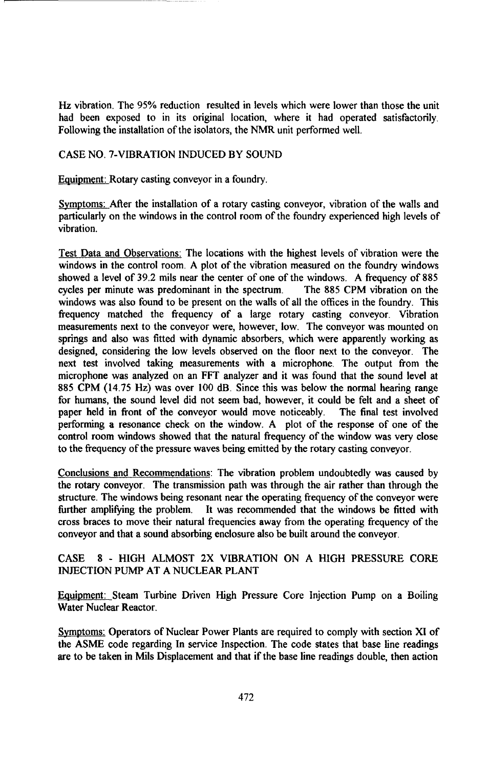Hz vibration. The 95% reduction resulted in levels which were lower than those the unit had been exposed to in its original location, where it had operated satisfactorily Following the installation of the isolators, the NMR unit performed well.

# CASE NO. 7-VIBRATION INDUCED BY SOUND

Equipment: Rotary casting conveyor in a foundry.

Symptoms: After the installation of a rotary casting conveyor, vibration of the walls and particularly on the windows in the control room of the foundry experienced high levels of vibration.

Test Data and Observations: The locations with the highest levels of vibration were the windows in the control room. A plot of the vibration measured on the foundry windows showed a level of 39.2 mils near the center of one of the windows. A frequency of 885 cycles per minute was predominant in the spectrum. The 885 CPM vibration on the windows was also found to be present on the walls of all the offices in the foundry. This frequency matched the frequency of a large rotary casting conveyor. Vibration measurements next to the conveyor were, however, low. The conveyor was mounted on springs and also was fitted with dynamic absorbers, which were apparently working as designed, considering the low levels observed on the floor next to the conveyor. The next test involved taking measurements with a microphone. The output from the microphone was analyzed on an FFT analyzer and it was found that the sound level at 885 CPM (14.75 Hz) was over 100 dB. Since this was below the normal hearing range for humans, the sound level did not seem bad, however, it could be felt and a sheet of paper held in front of the conveyor would move noticeably. The final test involved performing a resonance check on the window. A plot of the response of one of the control room windows showed that the natural frequency of the window was very close to the frequency of the pressure waves being emitted by the rotary casting conveyor.

Conclusions and Recommendations: The vibration problem undoubtedly was caused by the rotary conveyor. The transmission path was through the air rather than through the structure. The windows being resonant near the operating frequency of the conveyor were further amplifying the problem. It was recommended that the windows be fitted with cross braces to move their natural frequencies away from the operating frequency of the conveyor and that a sound absorbing enclosure also be built around the conveyor.

# CASE 8 - HIGH ALMOST 2X VIBRATION ON A HIGH PRESSURE CORE INJECTION PUMP AT A NUCLEAR PLANT

Equipment: Steam Turbine Driven High Pressure Core Injection Pump on a Boiling Water Nuclear Reactor.

Symptoms: Operators of Nuclear Power Plants are required to comply with section XI of the ASME code regarding In service Inspection. The code states that base line readings are to be taken in Mils Displacement and that if the base line readings double, then action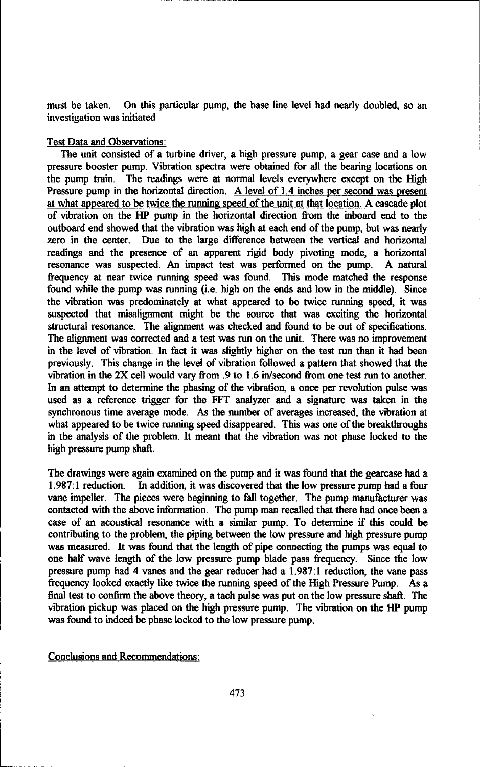must be taken. On this particular pump, the base line level had nearly doubled, so an investigation was initiated

# Test Data and Observations:

The unit consisted of a turbine driver, a high pressure pump, a gear case and a low pressure booster pump. Vibration spectra were obtained for all the bearing locations on the pump train. The readings were at normal levels everywhere except on the High Pressure pump in the horizontal direction. A level of 1.4 inches per second was present at what appeared to be twice the running speed of the unit at that location. A cascade plot of vibration on the HP pump in the horizontal direction from the inboard end to the outboard end showed that the vibration was high at each end of the pump, but was nearly zero in the center. Due to the large difference between the vertical and horizontal readings and the presence of an apparent rigid body pivoting mode, a horizontal resonance was suspected. An impact test was performed on the pump. A natural frequency at near twice running speed was found. This mode matched the response found while the pump was running (i.e. high on the ends and low in the middle). Since the vibration was predominately at what appeared to be twice running speed, it was suspected that misalignment might be the source that was exciting the horizontal structural resonance. The alignment was checked and found to be out of specifications. The alignment was corrected and a test was run on the unit. There was no improvement in the level of vibration. In fact it was slightly higher on the test run than it had been previously. This change in the level of vibration followed a pattern that showed that the vibration in the 2X cell would vary from .9 to 1.6 in/second from one test run to another. In an attempt to determine the phasing of the vibration, a once per revolution pulse was used as a reference trigger for the FFT analyzer and a signature was taken in the synchronous time average mode. As the number of averages increased, the vibration at what appeared to be twice running speed disappeared. This was one of the breakthroughs in the analysis of the problem. It meant that the vibration was not phase locked to the high pressure pump shaft.

The drawings were again examined on the pump and it was found that the gearcase had a 1.987:1 reduction. In addition, it was discovered that the low pressure pump had a four vane impeller. The pieces were beginning to fall together. The pump manufacturer was contacted with the above information. The pump man recalled that there had once been a case of an acoustical resonance with a similar pump. To determine if this could be contributing to the problem, the piping between the low pressure and high pressure pump was measured. It was found that the length of pipe connecting the pumps was equal to one half wave length of the low pressure pump blade pass frequency. Since the low pressure pump had 4 vanes and the gear reducer had a 1.987:1 reduction, the vane pass frequency looked exactly like twice the running speed of the High Pressure Pump. As a final test to confirm the above theory, a tach pulse was put on the low pressure shaft. The vibration pickup was placed on the high pressure pump. The vibration on the HP pump was found to indeed be phase locked to the low pressure pump.

Conclusions and Recommendations: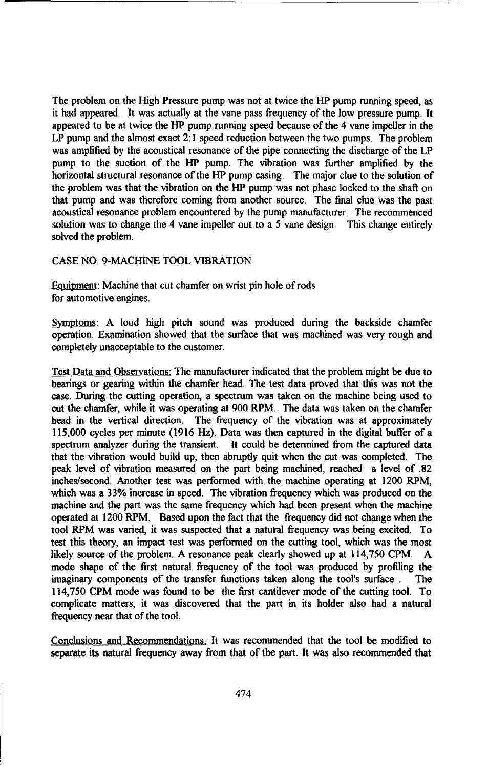The problem on the High Pressure pump was not at twice the HP pump running speed, as it had appeared. It was actually at the vane pass frequency of the low pressure pump. It appeared to be at twice the HP pump running speed because of the 4 vane impeller in the LP pump and the almost exact 2:1 speed reduction between the two pumps. The problem was amplified by the acoustical resonance of the pipe connecting the discharge of the LP pump to the suction of the HP pump. The vibration was further amplified by the horizontal structural resonance of the HP pump casing. The major clue to the solution of the problem was that the vibration on the HP pump was not phase locked to the shaft on that pump and was therefore coming from another source. The final clue was the past acoustical resonance problem encountered by the pump manufacturer. The recommenced solution was to change the 4 vane impeller out to a 5 vane design. This change entirely solved the problem.

# CASE NO. 9-MACHINE TOOL VIBRATION

Equipment: Machine that cut chamfer on wrist pin hole of rods for automotive engines.

Symptoms: A loud high pitch sound was produced during the backside chamfer operation. Examination showed that the surface that was machined was very rough and completely unacceptable to the customer.

Test Data and Observations: The manufacturer indicated that the problem might be due to bearings or gearing within the chamfer head. The test data proved that this was not the case. During the cutting operation, a spectrum was taken on the machine being used to cut the chamfer, while it was operating at 900 RPM. The data was taken on the chamfer head in the vertical direction. The frequency of the vibration was at approximately 115,000 cycles per minute (1916 Hz). Data was then captured in the digital buffer of a spectrum analyzer during the transient. It could be determined from the captured data that the vibration would build up, then abruptly quit when the cut was completed. The peak level of vibration measured on the part being machined, reached a level of .82 inches/second. Another test was performed with the machine operating at 1200 RPM, which was a 33% increase in speed. The vibration frequency which was produced on the machine and the part was the same frequency which had been present when the machine operated at 1200 RPM. Based upon the fact that the frequency did not change when the tool RPM was varied, it was suspected that a natural frequency was being excited. To test this theory, an impact test was performed on the cutting tool, which was the most likely source of the problem. A resonance peak clearly showed up at 114,750 CPM. A mode shape of the first natural frequency of the tool was produced by profiling the imaginary components of the transfer functions taken along the tool's surface . The 114,750 CPM mode was found to be the first cantilever mode of the cutting tool. To complicate matters, it was discovered that the part in its holder also had a natural frequency near that of the tool.

Conclusions and Recommendations: It was recommended that the tool be modified to separate its natural frequency away from that of the part. It was also recommended that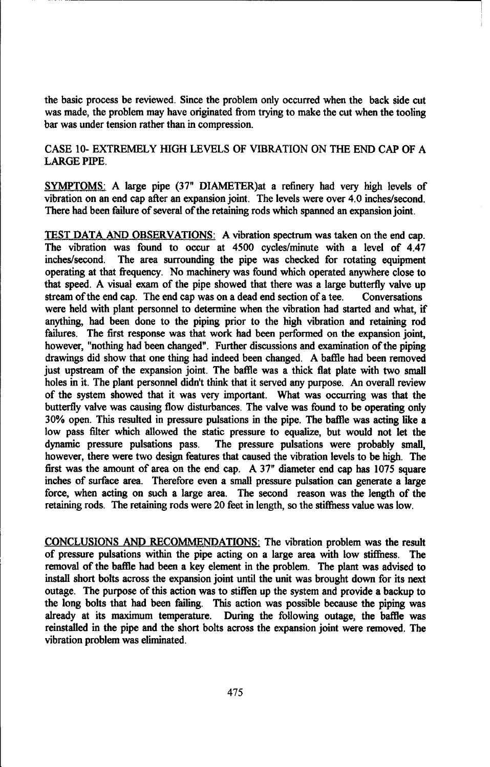the basic process be reviewed. Since the problem only occurred when the back side cut was made, the problem may have originated from trying to make the cut when the tooling bar was under tension rather than in compression.

CASE 10- EXTREMELY HIGH LEVELS OF VIBRATION ON THE END CAP OF A LARGE PIPE.

SYMPTOMS: A large pipe (37" DIAMETER)at a refinery had very high levels of vibration on an end cap after an expansion joint. The levels were over 4.0 inches/second. There had been failure of several of the retaining rods which spanned an expansion joint.

TEST DATA AND OBSERVATIONS: A vibration spectrum was taken on the end cap. The vibration was found to occur at 4500 cycles/minute with a level of 4.47 inches/second. The area surrounding the pipe was checked for rotating equipment operating at that frequency. No machinery was found which operated anywhere close to that speed. A visual exam of the pipe showed that there was a large butterfly valve up stream of the end cap. The end cap was on a dead end section of a tee. Conversations were held with plant personnel to determine when the vibration had started and what, if anything, had been done to the piping prior to the high vibration and retaining rod failures. The first response was that work had been performed on the expansion joint, however, "nothing had been changed". Further discussions and examination of the piping drawings did show that one thing had indeed been changed. A baffle had been removed just upstream of the expansion joint. The baffle was a thick flat plate with two small holes in it. The plant personnel didn't think that it served any purpose. An overall review of the system showed that it was very important. What was occurring was that the butterfly valve was causing flow disturbances. The valve was found to be operating only 30% open. This resulted in pressure pulsations in the pipe. The baffle was acting like a low pass filter which allowed the static pressure to equalize, but would not let the dynamic pressure pulsations pass. The pressure pulsations were probably small, however, there were two design features that caused the vibration levels to be high. The first was the amount of area on the end cap. A 37" diameter end cap has 1075 square inches of surface area. Therefore even a small pressure pulsation can generate a large force, when acting on such a large area. The second reason was the length of the retaining rods. The retaining rods were 20 feet in length, so the stiffness value was low.

CONCLUSIONS AND RECOMMENDATIONS: The vibration problem was the result of pressure pulsations within the pipe acting on a large area with low stiffness. The removal of the baffle had been a key element in the problem. The plant was advised to install short bolts across the expansion joint until the unit was brought down for its next outage. The purpose of this action was to stiffen up the system and provide a backup to the long bolts that had been failing. This action was possible because the piping was already at its maximum temperature. During the following outage, the baffle was reinstalled in the pipe and the short bolts across the expansion joint were removed. The vibration problem was eliminated.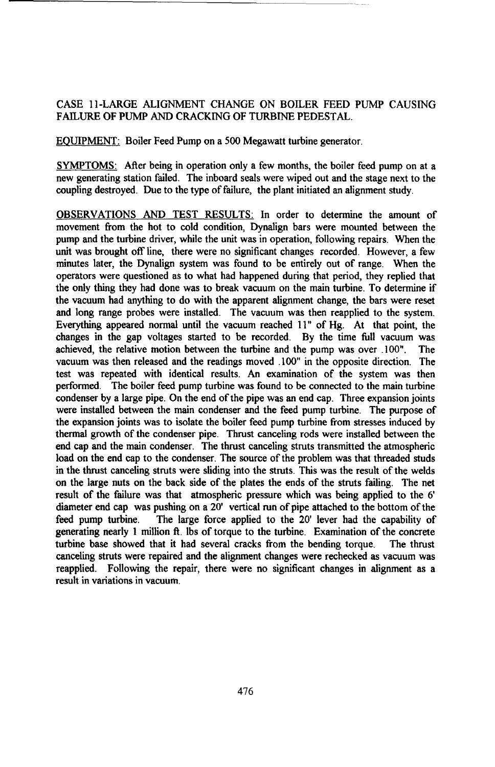# CASE 11-LARGE ALIGNMENT CHANGE ON BOILER FEED PUMP CAUSING FAILURE OF PUMP AND CRACKING OF TURBINE PEDESTAL.

EQUIPMENT: Boiler Feed Pump on a 500 Megawatt turbine generator.

SYMPTOMS: After being in operation only a few months, the boiler feed pump on at a new generating station failed. The inboard seals were wiped out and the stage next to the coupling destroyed. Due to the type of failure, the plant initiated an alignment study.

OBSERVATIONS AND TEST RESULTS: In order to determine the amount of movement from the hot to cold condition, Dynalign bars were mounted between the pump and the turbine driver, while the unit was in operation, following repairs. When the unit was brought off line, there were no significant changes recorded. However, a few minutes later, the Dynalign system was found to be entirely out of range. When the operators were questioned as to what had happened during that period, they replied that the only thing they had done was to break vacuum on the main turbine. To determine if the vacuum had anything to do with the apparent alignment change, the bars were reset and long range probes were installed. The vacuum was then reapplied to the system. Everything appeared normal until the vacuum reached 11" of Hg. At that point, the changes in the gap voltages started to be recorded. By the time full vacuum was achieved, the relative motion between the turbine and the pump was over .100". The vacuum was then released and the readings moved 100" in the opposite direction. The test was repeated with identical results. An examination of the system was then performed. The boiler feed pump turbine was found to be connected to the main turbine condenser by a large pipe. On the end of the pipe was an end cap. Three expansion joints were installed between the main condenser and the feed pump turbine. The purpose of the expansion joints was to isolate the boiler feed pump turbine from stresses induced by thermal growth of the condenser pipe. Thrust canceling rods were installed between the end cap and the main condenser. The thrust canceling struts transmitted the atmospheric load on the end cap to the condenser. The source of the problem was that threaded studs in the thrust canceling struts were sliding into the struts. This was the result of the welds on the large nuts on the back side of the plates the ends of the struts failing. The net result of the failure was that atmospheric pressure which was being applied to the 6' diameter end cap was pushing on a 20' vertical run of pipe attached to the bottom of the feed pump turbine. The large force applied to the 20' lever had the capability of generating nearly 1 million **ft.** lbs of torque to the turbine. Examination of the concrete turbine base showed that it had several cracks from the bending torque. The thrust canceling struts were repaired and the alignment changes were rechecked as vacuum was reapplied. Following the repair, there were no significant changes in alignment as a result in variations in vacuum.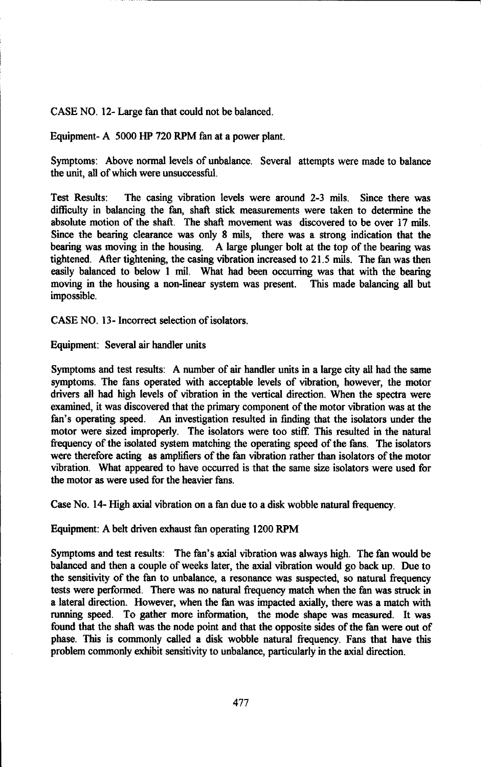CASE NO. 12- Large fan that could not be balanced.

Equipment- A 5000 HP 720 RPM fan at a power plant.

Symptoms: Above normal levels of unbalance. Several attempts were made to balance the unit, all of which were unsuccessfil.

Test Results: The casing vibration levels were around 2-3 mils. Since there was difficulty in balancing the fan, shaft stick measurements were taken to determine the absolute motion of the shaft. The shaft movement was discovered to be over 17 mils. Since the bearing clearance was only 8 mils, there was a strong indication that the bearing was moving in the housing. A large plunger bolt at the top of the bearing was tightened. After tightening, the casing vibration increased to 21.5 mils. The fan was then easily balanced to below **I** mil. What had been occurring was that with the bearing moving in the housing a non-linear system was present. This made balancing all but impossible.

CASE NO. 13- Incorrect selection of isolators.

Equipment: Several air handler units

Symptoms and test results: A number of air handler units in a large city all had the same symptoms. The fans operated with acceptable levels of vibration, however, the motor drivers all had high levels of vibration in the vertical direction. When the spectra were examined, it was discovered that the primary component of the motor vibration was at the fan's operating speed. An investigation resulted in finding that the isolators under the motor were sized improperly. The isolators were too stiff. This resulted in the natural frequency of the isolated system matching the operating speed of the fans. The isolators were therefore acting as amplifiers of the fan vibration rather than isolators of the motor vibration. What appeared to have occurred is that the same size isolators were used for the motor as were used for the heavier fans.

Case No. 14- High axial vibration on a fan due to a disk wobble natural frequency.

Equipment: A belt driven exhaust fan operating 1200 RPM

Symptoms and test results: The fan's axial vibration was always high. The fan would be balanced and then a couple of weeks later, the axial vibration would go back up. Due to the sensitivity of the fan to unbalance, a resonance was suspected, so natural frequency tests were performed. There was no natural frequency match when the fan was struck in a lateral direction. However, when the fan was impacted axially, there was a match with running speed. To gather more information, the mode shape was measured. It was found that the shaft was the node point and that the opposite sides of the fan were out of phase. This is commonly called a disk wobble natural frequency. Fans that have this problem commonly exhibit sensitivity to unbalance, particularly in the axial direction.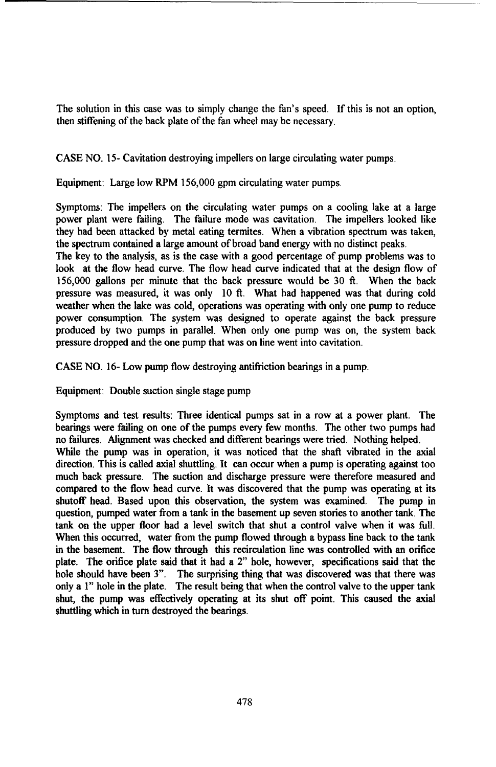The solution in this case was to simply change the fan's speed. If this is not an option, then stiffening of the back plate of the fan wheel may be necessary.

CASE NO. 15- Cavitation destroying impellers on large circulating water pumps.

Equipment: Large low RPM 156,000 gpm circulating water pumps.

Symptoms: The impellers on the circulating water pumps on a cooling lake at a large power plant were failing. The failure mode was cavitation. The impellers looked like they had been attacked by metal eating termites. When a vibration spectrum was taken, the spectrum contained a large amount of broad band energy with no distinct peaks.

The key to the analysis, as is the case with a good percentage of pump problems was to look at the flow head curve. The flow head curve indicated that at the design flow of 156,000 gallons per minute that the back pressure would be 30 **ft.** When the back pressure was measured, it was only 10 **ft.** What had happened was that during cold weather when the lake was cold, operations was operating with only one pump to reduce power consumption. The system was designed to operate against the back pressure produced by two pumps in parallel. When only one pump was on, the system back pressure dropped and the one pump that was on line went into cavitation.

CASE NO. 16- Low pump flow destroying antifriction bearings in a pump.

Equipment: Double suction single stage pump

Symptoms and test results: Three identical pumps sat in a row at a power plant. The bearings were failing on one of the pumps every few months. The other two pumps had no failures. Alignment was checked and different bearings were tried. Nothing helped. While the pump was in operation, it was noticed that the shaft vibrated in the axial direction. This is called axial shuttling. It can occur when a pump is operating against too much back pressure. The suction and discharge pressure were therefore measured and compared to the flow head curve. It was discovered that the pump was operating at its shutoff head. Based upon this observation, the system was examined. The pump in question, pumped water from a tank in the basement up seven stories to another tank. The tank on the upper floor had a level switch that shut a control valve when it was full. When this occurred, water from the pump flowed through a bypass line back to the tank in the basement. The flow through this recirculation line was controlled with an orifice plate. The orifice plate said that it had a 2" hole, however, specifications said that the hole should have been 3". The surprising thing that was discovered was that there was only a 1" hole in the plate. The result being that when the control valve to the upper tank shut, the pump was effectively operating at its shut off point. This caused the axial shuttling which in turn destroyed the bearings.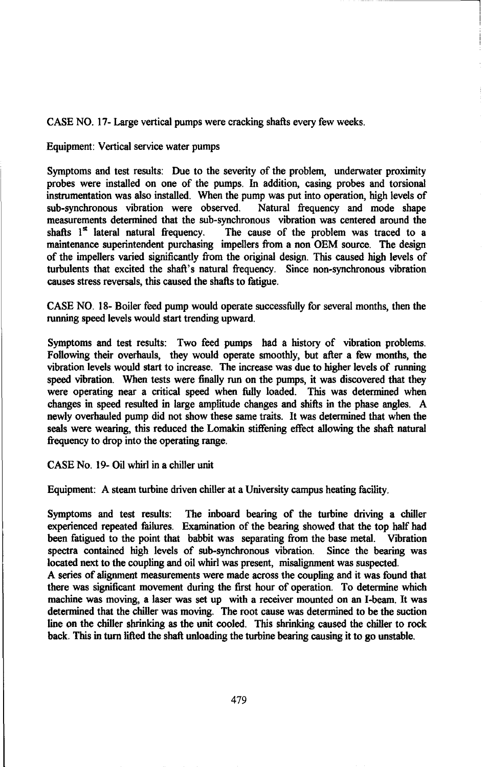CASE NO. 17- Large vertical pumps were cracking shafts every few weeks.

Equipment: Vertical service water pumps

Symptoms and test results: Due to the severity of the problem, underwater proximity probes were installed on one of the pumps. In addition, casing probes and torsional instrumentation was also installed. When the pump was put into operation, high levels of sub-synchronous vibration were observed. Natural frequency and mode shape measurements determined that the sub-synchronous vibration was centered around the shafts  $1<sup>st</sup>$  lateral natural frequency. The cause of the problem was traced to a The cause of the problem was traced to a maintenance superintendent purchasing impellers from a non OEM source. The design of the impellers varied significantly from the original design. This caused high levels of turbulents that excited the shaft's natural frequency. Since non-synchronous vibration causes stress reversals, this caused the shafts to fatigue.

CASE NO. 18- Boiler feed pump would operate successfully for several months, then the running speed levels would start trending upward.

Symptoms and test results: Two feed pumps had a history of vibration problems. Following their overhauls, they would operate smoothly, but after a few months, the vibration levels would start to increase. The increase was due to higher levels of running speed vibration. When tests were finally run on the pumps, it was discovered that they were operating near a critical speed when fully loaded. This was determined when changes in speed resulted in large amplitude changes and shifts in the phase angles. A newly overhauled pump did not show these same traits. It was determined that when the seals were wearing, this reduced the Lomakin stiffening effect allowing the shaft natural frequency to drop into the operating range.

CASE No. 19- Oil whirl in a chiller unit

Equipment: A steam turbine driven chiller at a University campus heating facility.

Symptoms and test results: The inboard bearing of the turbine driving a chiller experienced repeated failures. Examination of the bearing showed that the top half had been fatigued to the point that babbit was separating from the base metal. Vibration spectra contained high levels of sub-synchronous vibration. Since the bearing was located next to the coupling and oil whirl was present, misalignment was suspected.

A series of alignment measurements were made across the coupling and it was found that there was significant movement during the first hour of operation. To determine which machine was moving, a laser was set up with a receiver mounted on an I-beam. It was determined that the chiller was moving. The root cause was determined to be the suction line on the chiller shrinking as the unit cooled. This shrinking caused the chiller to rock back. This in turn lifted the shaft unloading the turbine bearing causing it to go unstable.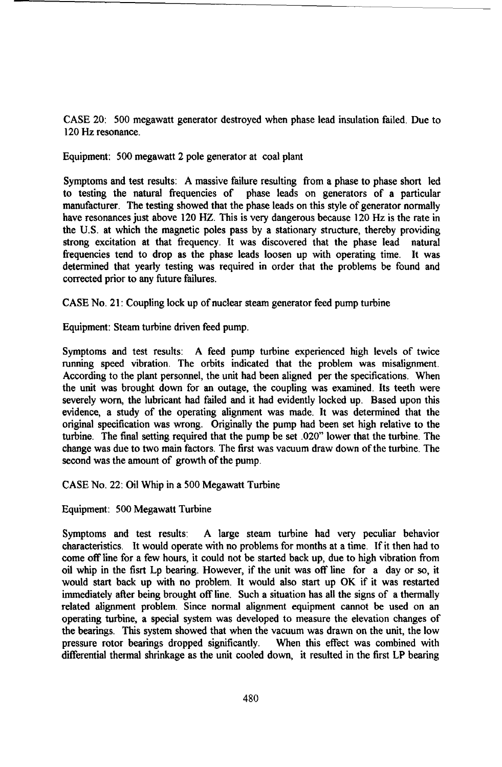CASE 20: 500 megawatt generator destroyed when phase lead insulation failed. Due to 120 Hz resonance.

Equipment: 500 megawatt 2 pole generator at coal plant

Symptoms and test results: A massive failure resulting from a phase to phase short led to testing the natural frequencies of phase leads on generators of a particular manufacturer. The testing showed that the phase leads on this style of generator normally have resonances just above 120 HZ. This is very dangerous because 120 Hz is the rate in the U.S. at which the magnetic poles pass by a stationary structure, thereby providing strong excitation at that frequency. It was discovered that the phase lead natural frequencies tend to drop as the phase leads loosen up with operating time. It was determined that yearly testing was required in order that the problems be found and corrected prior to any future failures.

CASE No. 21: Coupling lock up of nuclear steam generator feed pump turbine

Equipment: Steam turbine driven feed pump.

Symptoms and test results: A feed pump turbine experienced high levels of twice running speed vibration. The orbits indicated that the problem was misalignment. According to the plant personnel, the unit had been aligned per the specifications. When the unit was brought down for an outage, the coupling was examined. Its teeth were severely worn, the lubricant had failed and it had evidently locked up. Based upon this evidence, a study of the operating alignment was made. It was determined that the original specification was wrong. Originally the pump had been set high relative to the turbine. The final setting required that the pump be set .020" lower that the turbine. The change was due to two main factors. The first was vacuum draw down of the turbine. The second was the amount of growth of the pump.

CASE No. 22: Oil Whip in a 500 Megawatt Turbine

Equipment: 500 Megawatt Turbine

Symptoms and test results: A large steam turbine had very peculiar behavior characteristics. It would operate with no problems for months at a time. If it then had to come off line for a few hours, it could not be started back up, due to high vibration from oil whip in the fisrt Lp bearing. However, if the unit was off line for a day or so, it would start back up with no problem. It would also start up OK if it was restarted immediately after being brought off line. Such a situation has all the signs of a thermally related alignment problem. Since normal alignment equipment cannot be used on an operating turbine, a special system was developed to measure the elevation changes of the bearings. This system showed that when the vacuum was drawn on the unit, the low pressure rotor bearings dropped significantly. When this effect was combined with differential thermal shrinkage as the unit cooled down, it resulted in the first LP bearing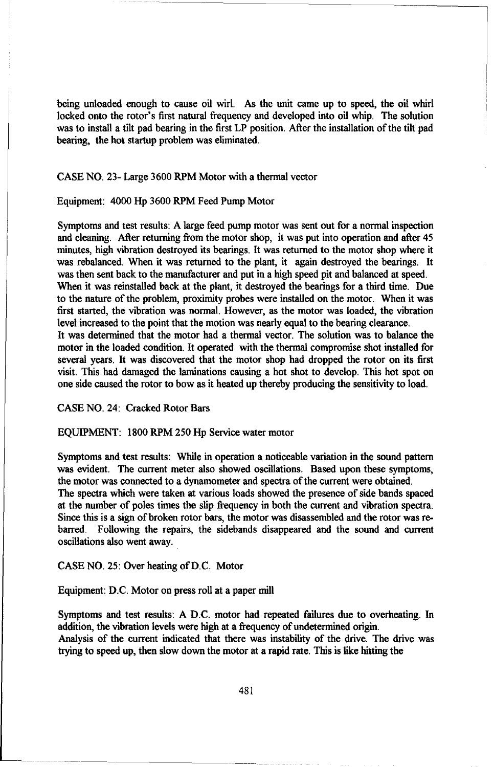being unloaded enough to cause oil wirl. As the unit came up to speed, the oil whirl locked onto the rotor's first natural frequency and developed into oil whip. The solution was to install a tilt pad bearing in the first LP position. After the installation of the tilt pad bearing, the hot startup problem was eliminated.

# CASE NO. 23- Large 3600 RPM Motor with a thermal vector

# Equipment: 4000 Hp 3600 RPM Feed Pump Motor

Symptoms and test results: A large feed pump motor was sent out for a normal inspection and cleaning. After returning from the motor shop, it was put into operation and after 45 minutes, high vibration destroyed its bearings. It was returned to the motor shop where it was rebalanced. When it was returned to the plant, it again destroyed the bearings. It was then sent back to the manufacturer and put in a high speed pit and balanced at speed. When it was reinstalled back at the plant, it destroyed the bearings for a third time. Due to the nature of the problem, proximity probes were installed on the motor. When it was first started, the vibration was normal. However, as the motor was loaded, the vibration level increased to the point that the motion was nearly equal to the bearing clearance. It was determined that the motor had a thermal vector. The solution was to balance the motor in the loaded condition. It operated with the thermal compromise shot installed for several years. It was discovered that the motor shop had dropped the rotor on its first visit. This had damaged the laminations causing a hot shot to develop. This hot spot on one side caused the rotor to bow as it heated up thereby producing the sensitivity to load.

# CASE NO. 24: Cracked Rotor Bars

# EQUIPMENT: 1800 RPM 250 Hp Service water motor

Symptoms and test results: While in operation a noticeable variation in the sound pattern was evident. The current meter also showed oscillations. Based upon these symptoms, the motor was connected to a dynamometer and spectra of the current were obtained. The spectra which were taken at various loads showed the presence of side bands spaced at the number of poles times the slip frequency in both the current and vibration spectra. Since this is a sign of broken rotor bars, the motor was disassembled and the rotor was rebarred. Following the repairs, the sidebands disappeared and the sound and current oscillations also went away.

# CASE NO. 25: Over heating of D.C. Motor

### Equipment: D.C. Motor on press roll at a paper mill

Symptoms and test results: A D.C. motor had repeated failures due to overheating. In addition, the vibration levels were high at a frequency of undetermined origin. Analysis of the current indicated that there was instability of the drive. The drive was trying to speed up, then slow down the motor at a rapid rate. This is like hitting the